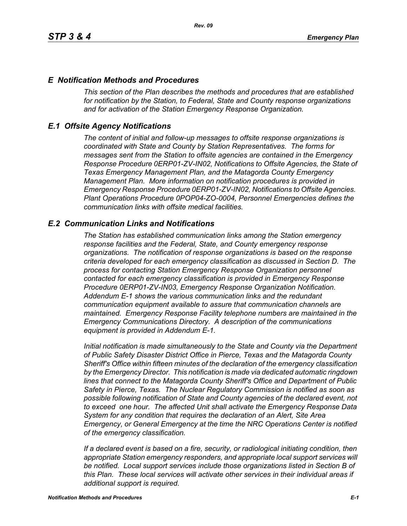## *E Notification Methods and Procedures*

*This section of the Plan describes the methods and procedures that are established for notification by the Station, to Federal, State and County response organizations and for activation of the Station Emergency Response Organization.*

## *E.1 Offsite Agency Notifications*

*The content of initial and follow-up messages to offsite response organizations is coordinated with State and County by Station Representatives. The forms for messages sent from the Station to offsite agencies are contained in the Emergency Response Procedure 0ERP01-ZV-IN02, Notifications to Offsite Agencies, the State of Texas Emergency Management Plan, and the Matagorda County Emergency Management Plan. More information on notification procedures is provided in Emergency Response Procedure 0ERP01-ZV-IN02, Notifications to Offsite Agencies. Plant Operations Procedure 0POP04-ZO-0004, Personnel Emergencies defines the communication links with offsite medical facilities.*

## *E.2 Communication Links and Notifications*

*The Station has established communication links among the Station emergency response facilities and the Federal, State, and County emergency response organizations. The notification of response organizations is based on the response criteria developed for each emergency classification as discussed in Section D. The process for contacting Station Emergency Response Organization personnel contacted for each emergency classification is provided in Emergency Response Procedure 0ERP01-ZV-IN03, Emergency Response Organization Notification. Addendum E-1 shows the various communication links and the redundant communication equipment available to assure that communication channels are maintained. Emergency Response Facility telephone numbers are maintained in the Emergency Communications Directory. A description of the communications equipment is provided in Addendum E-1.*

*Initial notification is made simultaneously to the State and County via the Department of Public Safety Disaster District Office in Pierce, Texas and the Matagorda County Sheriff's Office within fifteen minutes of the declaration of the emergency classification by the Emergency Director. This notification is made via dedicated automatic ringdown lines that connect to the Matagorda County Sheriff's Office and Department of Public Safety in Pierce, Texas. The Nuclear Regulatory Commission is notified as soon as possible following notification of State and County agencies of the declared event, not to exceed one hour. The affected Unit shall activate the Emergency Response Data System for any condition that requires the declaration of an Alert, Site Area Emergency, or General Emergency at the time the NRC Operations Center is notified of the emergency classification.*

*If a declared event is based on a fire, security, or radiological initiating condition, then appropriate Station emergency responders, and appropriate local support services will be notified. Local support services include those organizations listed in Section B of this Plan. These local services will activate other services in their individual areas if additional support is required.*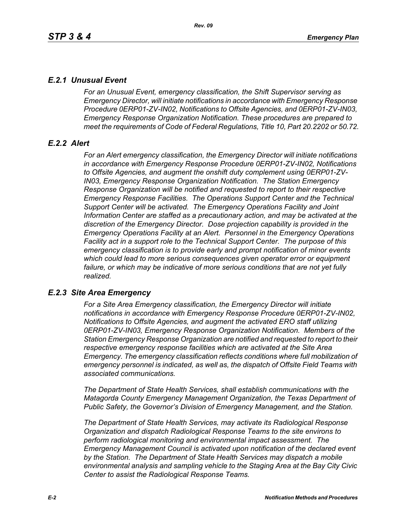# *E.2.1 Unusual Event*

*For an Unusual Event, emergency classification, the Shift Supervisor serving as Emergency Director, will initiate notifications in accordance with Emergency Response Procedure 0ERP01-ZV-IN02, Notifications to Offsite Agencies, and 0ERP01-ZV-IN03, Emergency Response Organization Notification. These procedures are prepared to meet the requirements of Code of Federal Regulations, Title 10, Part 20.2202 or 50.72.*

# *E.2.2 Alert*

*For an Alert emergency classification, the Emergency Director will initiate notifications in accordance with Emergency Response Procedure 0ERP01-ZV-IN02, Notifications to Offsite Agencies, and augment the onshift duty complement using 0ERP01-ZV-IN03, Emergency Response Organization Notification. The Station Emergency Response Organization will be notified and requested to report to their respective Emergency Response Facilities. The Operations Support Center and the Technical Support Center will be activated. The Emergency Operations Facility and Joint Information Center are staffed as a precautionary action, and may be activated at the discretion of the Emergency Director. Dose projection capability is provided in the Emergency Operations Facility at an Alert. Personnel in the Emergency Operations Facility act in a support role to the Technical Support Center. The purpose of this emergency classification is to provide early and prompt notification of minor events which could lead to more serious consequences given operator error or equipment failure, or which may be indicative of more serious conditions that are not yet fully realized.*

# *E.2.3 Site Area Emergency*

*For a Site Area Emergency classification, the Emergency Director will initiate notifications in accordance with Emergency Response Procedure 0ERP01-ZV-IN02, Notifications to Offsite Agencies, and augment the activated ERO staff utilizing 0ERP01-ZV-IN03, Emergency Response Organization Notification. Members of the Station Emergency Response Organization are notified and requested to report to their respective emergency response facilities which are activated at the Site Area Emergency. The emergency classification reflects conditions where full mobilization of emergency personnel is indicated, as well as, the dispatch of Offsite Field Teams with associated communications.*

*The Department of State Health Services, shall establish communications with the Matagorda County Emergency Management Organization, the Texas Department of Public Safety, the Governor's Division of Emergency Management, and the Station.* 

*The Department of State Health Services, may activate its Radiological Response Organization and dispatch Radiological Response Teams to the site environs to perform radiological monitoring and environmental impact assessment. The Emergency Management Council is activated upon notification of the declared event by the Station. The Department of State Health Services may dispatch a mobile environmental analysis and sampling vehicle to the Staging Area at the Bay City Civic Center to assist the Radiological Response Teams.*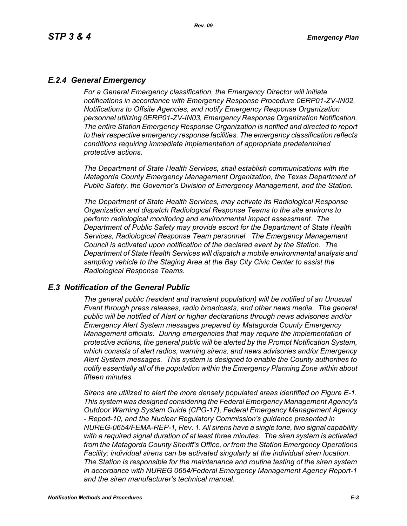# *E.2.4 General Emergency*

*For a General Emergency classification, the Emergency Director will initiate notifications in accordance with Emergency Response Procedure 0ERP01-ZV-IN02, Notifications to Offsite Agencies, and notify Emergency Response Organization personnel utilizing 0ERP01-ZV-IN03, Emergency Response Organization Notification. The entire Station Emergency Response Organization is notified and directed to report to their respective emergency response facilities. The emergency classification reflects conditions requiring immediate implementation of appropriate predetermined protective actions.*

*The Department of State Health Services, shall establish communications with the Matagorda County Emergency Management Organization, the Texas Department of Public Safety, the Governor's Division of Emergency Management, and the Station.*

*The Department of State Health Services, may activate its Radiological Response Organization and dispatch Radiological Response Teams to the site environs to perform radiological monitoring and environmental impact assessment. The Department of Public Safety may provide escort for the Department of State Health Services, Radiological Response Team personnel. The Emergency Management Council is activated upon notification of the declared event by the Station. The Department of State Health Services will dispatch a mobile environmental analysis and sampling vehicle to the Staging Area at the Bay City Civic Center to assist the Radiological Response Teams.*

### *E.3 Notification of the General Public*

*The general public (resident and transient population) will be notified of an Unusual Event through press releases, radio broadcasts, and other news media. The general public will be notified of Alert or higher declarations through news advisories and/or Emergency Alert System messages prepared by Matagorda County Emergency Management officials. During emergencies that may require the implementation of protective actions, the general public will be alerted by the Prompt Notification System, which consists of alert radios, warning sirens, and news advisories and/or Emergency Alert System messages. This system is designed to enable the County authorities to notify essentially all of the population within the Emergency Planning Zone within about fifteen minutes.* 

*Sirens are utilized to alert the more densely populated areas identified on Figure E-1. This system was designed considering the Federal Emergency Management Agency's Outdoor Warning System Guide (CPG-17), Federal Emergency Management Agency - Report-10, and the Nuclear Regulatory Commission's guidance presented in NUREG-0654/FEMA-REP-1, Rev. 1. All sirens have a single tone, two signal capability with a required signal duration of at least three minutes. The siren system is activated from the Matagorda County Sheriff's Office, or from the Station Emergency Operations Facility; individual sirens can be activated singularly at the individual siren location. The Station is responsible for the maintenance and routine testing of the siren system in accordance with NUREG 0654/Federal Emergency Management Agency Report-1 and the siren manufacturer's technical manual.*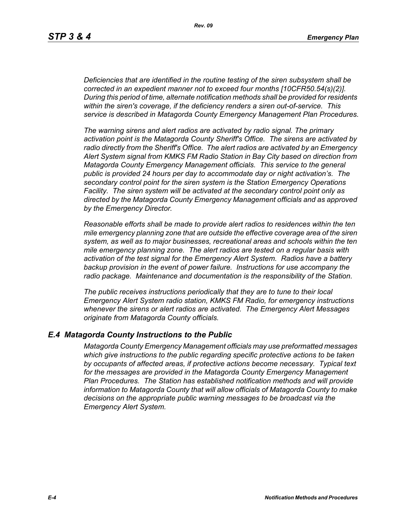*Deficiencies that are identified in the routine testing of the siren subsystem shall be corrected in an expedient manner not to exceed four months [10CFR50.54(s)(2)]. During this period of time, alternate notification methods shall be provided for residents within the siren's coverage, if the deficiency renders a siren out-of-service. This service is described in Matagorda County Emergency Management Plan Procedures.*

*The warning sirens and alert radios are activated by radio signal. The primary activation point is the Matagorda County Sheriff's Office. The sirens are activated by radio directly from the Sheriff's Office. The alert radios are activated by an Emergency Alert System signal from KMKS FM Radio Station in Bay City based on direction from Matagorda County Emergency Management officials. This service to the general public is provided 24 hours per day to accommodate day or night activation's. The secondary control point for the siren system is the Station Emergency Operations Facility. The siren system will be activated at the secondary control point only as directed by the Matagorda County Emergency Management officials and as approved by the Emergency Director.* 

*Reasonable efforts shall be made to provide alert radios to residences within the ten mile emergency planning zone that are outside the effective coverage area of the siren system, as well as to major businesses, recreational areas and schools within the ten mile emergency planning zone. The alert radios are tested on a regular basis with activation of the test signal for the Emergency Alert System. Radios have a battery backup provision in the event of power failure. Instructions for use accompany the radio package. Maintenance and documentation is the responsibility of the Station.* 

*The public receives instructions periodically that they are to tune to their local Emergency Alert System radio station, KMKS FM Radio, for emergency instructions whenever the sirens or alert radios are activated. The Emergency Alert Messages originate from Matagorda County officials.* 

### *E.4 Matagorda County Instructions to the Public*

*Matagorda County Emergency Management officials may use preformatted messages which give instructions to the public regarding specific protective actions to be taken by occupants of affected areas, if protective actions become necessary. Typical text for the messages are provided in the Matagorda County Emergency Management Plan Procedures. The Station has established notification methods and will provide information to Matagorda County that will allow officials of Matagorda County to make decisions on the appropriate public warning messages to be broadcast via the Emergency Alert System.*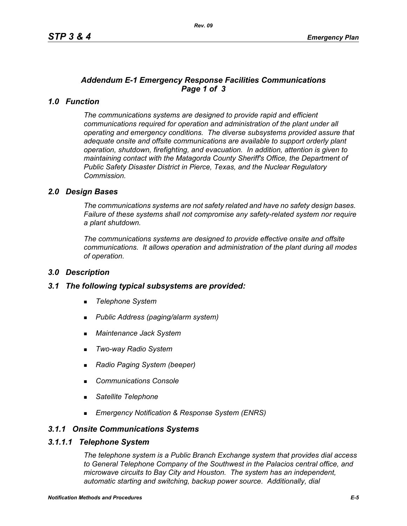# *Addendum E-1 Emergency Response Facilities Communications Page 1 of 3*

# *1.0 Function*

*The communications systems are designed to provide rapid and efficient communications required for operation and administration of the plant under all operating and emergency conditions. The diverse subsystems provided assure that adequate onsite and offsite communications are available to support orderly plant operation, shutdown, firefighting, and evacuation. In addition, attention is given to maintaining contact with the Matagorda County Sheriff's Office, the Department of Public Safety Disaster District in Pierce, Texas, and the Nuclear Regulatory Commission.*

## *2.0 Design Bases*

*The communications systems are not safety related and have no safety design bases. Failure of these systems shall not compromise any safety-related system nor require a plant shutdown.*

*The communications systems are designed to provide effective onsite and offsite communications. It allows operation and administration of the plant during all modes of operation.*

### *3.0 Description*

### *3.1 The following typical subsystems are provided:*

- *Telephone System*
- *Public Address (paging/alarm system)*
- *Maintenance Jack System*
- *Two-way Radio System*
- *Radio Paging System (beeper)*
- *Communications Console*
- *Satellite Telephone*
- *Emergency Notification & Response System (ENRS)*

## *3.1.1 Onsite Communications Systems*

#### *3.1.1.1 Telephone System*

*The telephone system is a Public Branch Exchange system that provides dial access to General Telephone Company of the Southwest in the Palacios central office, and microwave circuits to Bay City and Houston. The system has an independent, automatic starting and switching, backup power source. Additionally, dial*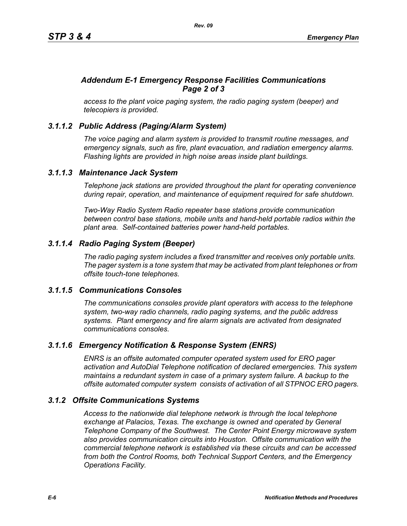# *Addendum E-1 Emergency Response Facilities Communications Page 2 of 3*

*access to the plant voice paging system, the radio paging system (beeper) and telecopiers is provided.*

# *3.1.1.2 Public Address (Paging/Alarm System)*

*The voice paging and alarm system is provided to transmit routine messages, and emergency signals, such as fire, plant evacuation, and radiation emergency alarms. Flashing lights are provided in high noise areas inside plant buildings.*

## *3.1.1.3 Maintenance Jack System*

*Telephone jack stations are provided throughout the plant for operating convenience during repair, operation, and maintenance of equipment required for safe shutdown.* 

*Two-Way Radio System Radio repeater base stations provide communication between control base stations, mobile units and hand-held portable radios within the plant area. Self-contained batteries power hand-held portables.* 

# *3.1.1.4 Radio Paging System (Beeper)*

*The radio paging system includes a fixed transmitter and receives only portable units. The pager system is a tone system that may be activated from plant telephones or from offsite touch-tone telephones.* 

# *3.1.1.5 Communications Consoles*

*The communications consoles provide plant operators with access to the telephone system, two-way radio channels, radio paging systems, and the public address systems. Plant emergency and fire alarm signals are activated from designated communications consoles.*

# *3.1.1.6 Emergency Notification & Response System (ENRS)*

*ENRS is an offsite automated computer operated system used for ERO pager activation and AutoDial Telephone notification of declared emergencies. This system maintains a redundant system in case of a primary system failure. A backup to the offsite automated computer system consists of activation of all STPNOC ERO pagers.*

# *3.1.2 Offsite Communications Systems*

*Access to the nationwide dial telephone network is through the local telephone exchange at Palacios, Texas. The exchange is owned and operated by General Telephone Company of the Southwest. The Center Point Energy microwave system also provides communication circuits into Houston. Offsite communication with the commercial telephone network is established via these circuits and can be accessed from both the Control Rooms, both Technical Support Centers, and the Emergency Operations Facility.*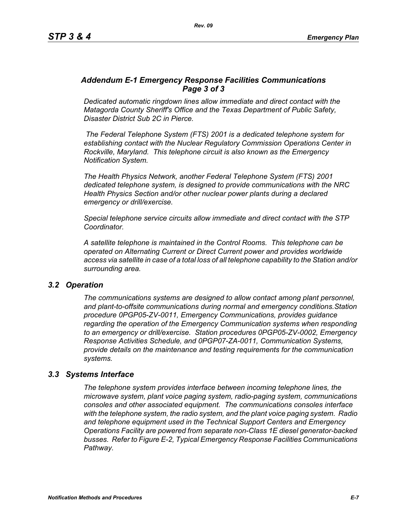## *Addendum E-1 Emergency Response Facilities Communications Page 3 of 3*

*Dedicated automatic ringdown lines allow immediate and direct contact with the Matagorda County Sheriff's Office and the Texas Department of Public Safety, Disaster District Sub 2C in Pierce.*

 *The Federal Telephone System (FTS) 2001 is a dedicated telephone system for establishing contact with the Nuclear Regulatory Commission Operations Center in Rockville, Maryland. This telephone circuit is also known as the Emergency Notification System.*

*The Health Physics Network, another Federal Telephone System (FTS) 2001 dedicated telephone system, is designed to provide communications with the NRC Health Physics Section and/or other nuclear power plants during a declared emergency or drill/exercise.*

*Special telephone service circuits allow immediate and direct contact with the STP Coordinator.*

*A satellite telephone is maintained in the Control Rooms. This telephone can be operated on Alternating Current or Direct Current power and provides worldwide access via satellite in case of a total loss of all telephone capability to the Station and/or surrounding area.*

### *3.2 Operation*

*The communications systems are designed to allow contact among plant personnel, and plant-to-offsite communications during normal and emergency conditions.Station procedure 0PGP05-ZV-0011, Emergency Communications, provides guidance regarding the operation of the Emergency Communication systems when responding to an emergency or drill/exercise. Station procedures 0PGP05-ZV-0002, Emergency Response Activities Schedule, and 0PGP07-ZA-0011, Communication Systems, provide details on the maintenance and testing requirements for the communication systems.*

### *3.3 Systems Interface*

*The telephone system provides interface between incoming telephone lines, the microwave system, plant voice paging system, radio-paging system, communications consoles and other associated equipment. The communications consoles interface with the telephone system, the radio system, and the plant voice paging system. Radio and telephone equipment used in the Technical Support Centers and Emergency Operations Facility are powered from separate non-Class 1E diesel generator-backed busses. Refer to Figure E-2, Typical Emergency Response Facilities Communications Pathway.*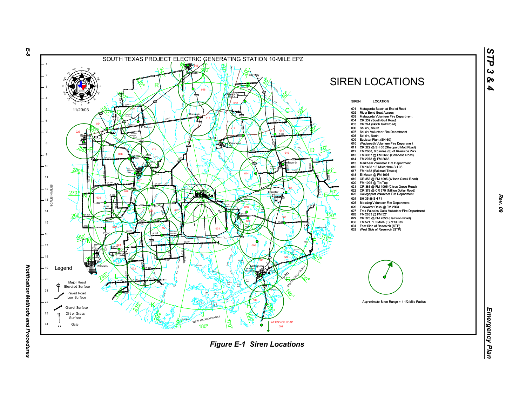

*Rev. 09*

*STP 3 & 4*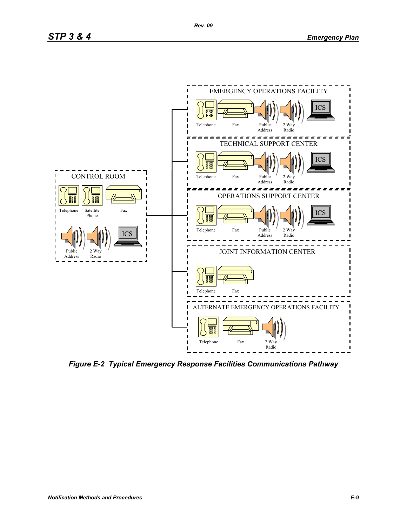

*Figure E-2 Typical Emergency Response Facilities Communications Pathway*